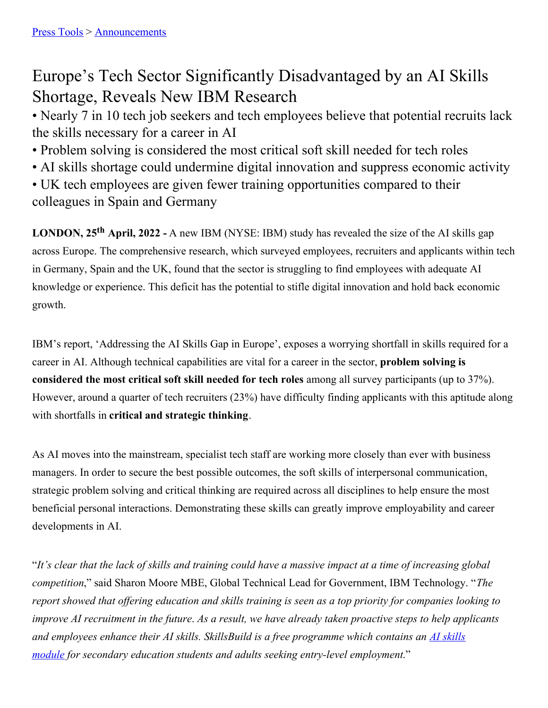## Europe's Tech Sector Significantly Disadvantaged by an AI Skills Shortage, Reveals New IBM Research

• Nearly 7 in 10 tech job seekers and tech employees believe that potential recruits lack the skills necessary for a career in AI

- Problem solving is considered the most critical soft skill needed for tech roles
- AI skills shortage could undermine digital innovation and suppress economic activity
- UK tech employees are given fewer training opportunities compared to their colleagues in Spain and Germany

**LONDON, 25 th April, 2022 -** A new IBM (NYSE: IBM) study has revealed the size of the AI skills gap across Europe. The comprehensive research, which surveyed employees, recruiters and applicants within tech in Germany, Spain and the UK, found that the sector is struggling to find employees with adequate AI knowledge or experience. This deficit has the potential to stifle digital innovation and hold back economic growth.

IBM's report, 'Addressing the AI Skills Gap in Europe', exposes a worrying shortfall in skills required for a career in AI. Although technical capabilities are vital for a career in the sector, **problem solving is considered the most critical soft skill needed for tech roles** among all survey participants (up to 37%). However, around a quarter of tech recruiters (23%) have difficulty finding applicants with this aptitude along with shortfalls in **critical and strategic thinking**.

As AI moves into the mainstream, specialist tech staff are working more closely than ever with business managers. In order to secure the best possible outcomes, the soft skills of interpersonal communication, strategic problem solving and critical thinking are required across all disciplines to help ensure the most beneficial personal interactions. Demonstrating these skills can greatly improve employability and career developments in AI.

"It's clear that the lack of skills and training could have a massive impact at a time of increasing global *competition*," said Sharon Moore MBE, Global Technical Lead for Government, IBM Technology. "*The* report showed that offering education and skills training is seen as a top priority for companies looking to improve AI recruitment in the future. As a result, we have already taken proactive steps to help applicants *and employees enhance their AI skills. SkillsBuild is a free programme which contains an AI skills module for secondary education students and adults seeking entry-level [employment](https://skillsbuild.org/students/course-catalog/artificial-intelligence)*."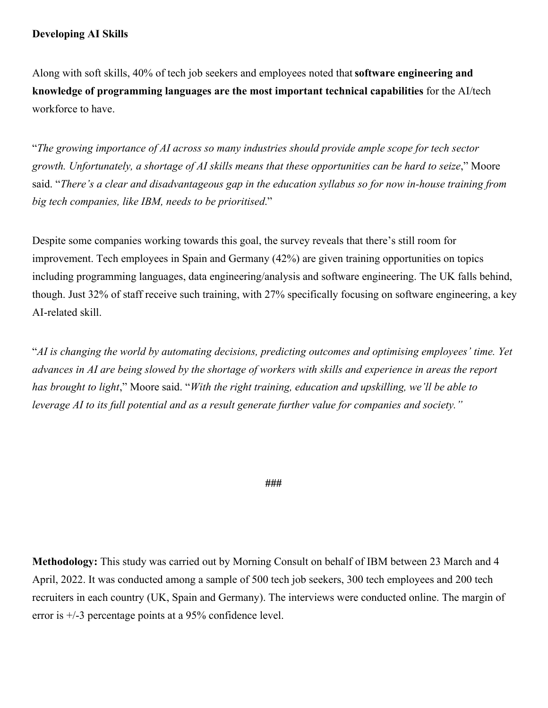## **Developing AI Skills**

Along with soft skills, 40% of tech job seekers and employees noted that **software engineering and knowledge of programming languages are the most important technical capabilities** for the AI/tech workforce to have.

"*The growing importance of AI across so many industries should provide ample scope for tech sector growth. Unfortunately, a shortage of AI skills means that these opportunities can be hard to seize*," Moore said. "*There's a clear and disadvantageous gap in the education syllabus so for now in-house training from big tech companies, like IBM, needs to be prioritised*."

Despite some companies working towards this goal, the survey reveals that there's still room for improvement. Tech employees in Spain and Germany (42%) are given training opportunities on topics including programming languages, data engineering/analysis and software engineering. The UK falls behind, though. Just 32% of staff receive such training, with 27% specifically focusing on software engineering, a key AI-related skill.

"*AI is changing the world by automating decisions, predicting outcomes and optimising employees' time. Yet* advances in AI are being slowed by the shortage of workers with skills and experience in areas the report *has brought to light*," Moore said. "*With the right training, education and upskilling, we'll be able to leverage AI to its full potential and as a result generate further value for companies and society."*

## **###**

**Methodology:** This study was carried out by Morning Consult on behalf of IBM between 23 March and 4 April, 2022. It was conducted among a sample of 500 tech job seekers, 300 tech employees and 200 tech recruiters in each country (UK, Spain and Germany). The interviews were conducted online. The margin of error is +/-3 percentage points at a 95% confidence level.